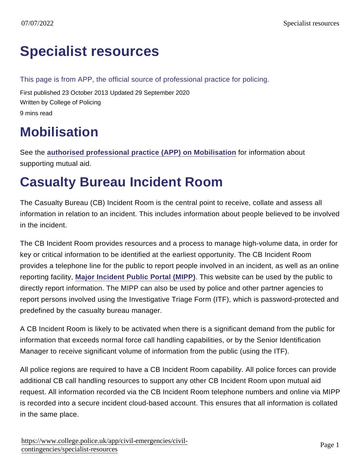## [Specialist resources](https://www.college.police.uk/app/civil-emergencies/civil-contingencies/specialist-resources)

This page is from APP, the official source of professional practice for policing.

First published 23 October 2013 Updated 29 September 2020 Written by College of Policing 9 mins read

## **Mobilisation**

See the [authorised professional practice \(APP\) on Mobilisation](https://www.college.police.uk/app/mobilisation/mobilisation) for information about supporting mutual aid.

# Casualty Bureau Incident Room

The Casualty Bureau (CB) Incident Room is the central point to receive, collate and assess all information in relation to an incident. This includes information about people believed to be involved in the incident.

The CB Incident Room provides resources and a process to manage high-volume data, in order for key or critical information to be identified at the earliest opportunity. The CB Incident Room provides a telephone line for the public to report people involved in an incident, as well as an online reporting facility, [Major Incident Public Portal \(MIPP\)](https://mipp.police.uk/) . This website can be used by the public to directly report information. The MIPP can also be used by police and other partner agencies to report persons involved using the Investigative Triage Form (ITF), which is password-protected and predefined by the casualty bureau manager.

A CB Incident Room is likely to be activated when there is a significant demand from the public for information that exceeds normal force call handling capabilities, or by the Senior Identification Manager to receive significant volume of information from the public (using the ITF).

All police regions are required to have a CB Incident Room capability. All police forces can provide additional CB call handling resources to support any other CB Incident Room upon mutual aid request. All information recorded via the CB Incident Room telephone numbers and online via MIPP is recorded into a secure incident cloud-based account. This ensures that all information is collated in the same place.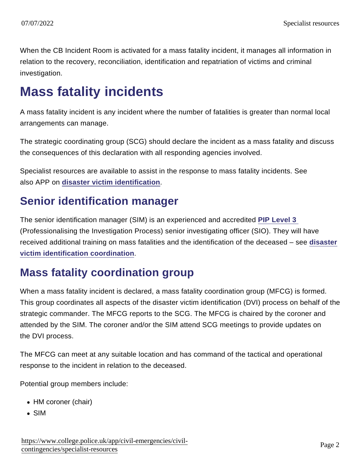When the CB Incident Room is activated for a mass fatality incident, it manages all information in relation to the recovery, reconciliation, identification and repatriation of victims and criminal investigation.

## Mass fatality incidents

A mass fatality incident is any incident where the number of fatalities is greater than normal local arrangements can manage.

The strategic coordinating group (SCG) should declare the incident as a mass fatality and discuss the consequences of this declaration with all responding agencies involved.

Specialist resources are available to assist in the response to mass fatality incidents. See also APP on [disaster victim identification](https://www.app.college.police.uk/app-content/civil-contingencies/disaster-victim-identification/) .

#### Senior identification manager

The senior identification manager (SIM) is an experienced and accredited [PIP Level 3](https://www.app.college.police.uk/app-content/investigations/introduction/#pip-level-3)  (Professionalising the Investigation Process) senior investigating officer (SIO). They will have received additional training on mass fatalities and the identification of the deceased – see [disaster](https://www.app.college.police.uk/app-content/civil-contingencies/disaster-victim-identification/) [victim identification coordination](https://www.app.college.police.uk/app-content/civil-contingencies/disaster-victim-identification/) .

#### Mass fatality coordination group

When a mass fatality incident is declared, a mass fatality coordination group (MFCG) is formed. This group coordinates all aspects of the disaster victim identification (DVI) process on behalf of the strategic commander. The MFCG reports to the SCG. The MFCG is chaired by the coroner and attended by the SIM. The coroner and/or the SIM attend SCG meetings to provide updates on the DVI process.

The MFCG can meet at any suitable location and has command of the tactical and operational response to the incident in relation to the deceased.

Potential group members include:

- HM coroner (chair)
- SIM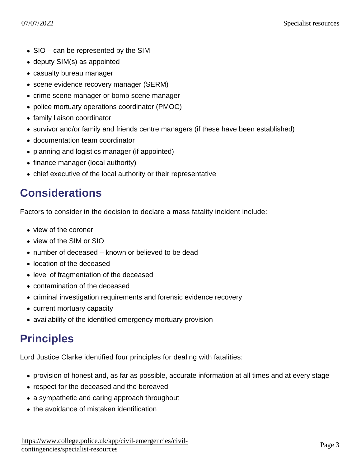- SIO can be represented by the SIM
- deputy SIM(s) as appointed
- casualty bureau manager
- scene evidence recovery manager (SERM)
- crime scene manager or bomb scene manager
- police mortuary operations coordinator (PMOC)
- family liaison coordinator
- survivor and/or family and friends centre managers (if these have been established)
- documentation team coordinator
- planning and logistics manager (if appointed)
- finance manager (local authority)
- chief executive of the local authority or their representative

### **Considerations**

Factors to consider in the decision to declare a mass fatality incident include:

- view of the coroner
- view of the SIM or SIO
- number of deceased known or believed to be dead
- location of the deceased
- level of fragmentation of the deceased
- contamination of the deceased
- criminal investigation requirements and forensic evidence recovery
- current mortuary capacity
- availability of the identified emergency mortuary provision

### **Principles**

Lord Justice Clarke identified four principles for dealing with fatalities:

- provision of honest and, as far as possible, accurate information at all times and at every stage
- respect for the deceased and the bereaved
- a sympathetic and caring approach throughout
- the avoidance of mistaken identification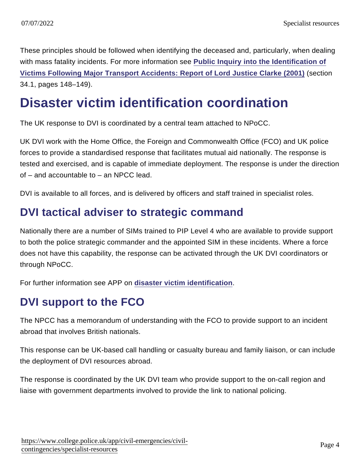These principles should be followed when identifying the deceased and, particularly, when dealing with mass fatality incidents. For more information see [Public Inquiry into the Identification of](http://webarchive.nationalarchives.gov.uk/20050523205851/http:/ukresilience.info/contingencies/dwd/dwdrevised.pdf) [Victims Following Major Transport Accidents: Report of Lord Justice Clarke \(2001\)](http://webarchive.nationalarchives.gov.uk/20050523205851/http:/ukresilience.info/contingencies/dwd/dwdrevised.pdf) (section 34.1, pages 148–149).

### Disaster victim identification coordination

The UK response to DVI is coordinated by a central team attached to NPoCC.

UK DVI work with the Home Office, the Foreign and Commonwealth Office (FCO) and UK police forces to provide a standardised response that facilitates mutual aid nationally. The response is tested and exercised, and is capable of immediate deployment. The response is under the direction of – and accountable to – an NPCC lead.

DVI is available to all forces, and is delivered by officers and staff trained in specialist roles.

#### DVI tactical adviser to strategic command

Nationally there are a number of SIMs trained to PIP Level 4 who are available to provide support to both the police strategic commander and the appointed SIM in these incidents. Where a force does not have this capability, the response can be activated through the UK DVI coordinators or through NPoCC.

For further information see APP on [disaster victim identification](https://www.app.college.police.uk/app-content/civil-contingencies/disaster-victim-identification/) .

### DVI support to the FCO

The NPCC has a memorandum of understanding with the FCO to provide support to an incident abroad that involves British nationals.

This response can be UK-based call handling or casualty bureau and family liaison, or can include the deployment of DVI resources abroad.

The response is coordinated by the UK DVI team who provide support to the on-call region and liaise with government departments involved to provide the link to national policing.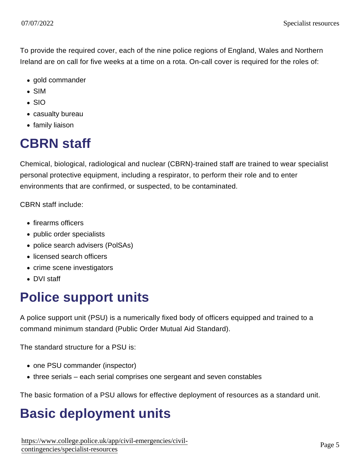To provide the required cover, each of the nine police regions of England, Wales and Northern Ireland are on call for five weeks at a time on a rota. On-call cover is required for the roles of:

- gold commander
- SIM
- $\cdot$  SIO
- casualty bureau
- family liaison

## CBRN staff

Chemical, biological, radiological and nuclear (CBRN)-trained staff are trained to wear specialist personal protective equipment, including a respirator, to perform their role and to enter environments that are confirmed, or suspected, to be contaminated.

CBRN staff include:

- firearms officers
- public order specialists
- police search advisers (PolSAs)
- licensed search officers
- crime scene investigators
- DVI staff

# Police support units

A police support unit (PSU) is a numerically fixed body of officers equipped and trained to a command minimum standard (Public Order Mutual Aid Standard).

The standard structure for a PSU is:

- one PSU commander (inspector)
- three serials each serial comprises one sergeant and seven constables

The basic formation of a PSU allows for effective deployment of resources as a standard unit.

# Basic deployment units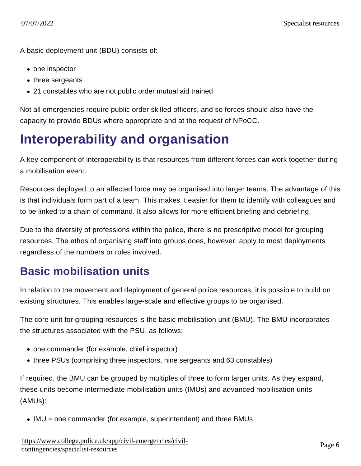A basic deployment unit (BDU) consists of:

- one inspector
- three sergeants
- 21 constables who are not public order mutual aid trained

Not all emergencies require public order skilled officers, and so forces should also have the capacity to provide BDUs where appropriate and at the request of NPoCC.

## Interoperability and organisation

A key component of interoperability is that resources from different forces can work together during a mobilisation event.

Resources deployed to an affected force may be organised into larger teams. The advantage of this is that individuals form part of a team. This makes it easier for them to identify with colleagues and to be linked to a chain of command. It also allows for more efficient briefing and debriefing.

Due to the diversity of professions within the police, there is no prescriptive model for grouping resources. The ethos of organising staff into groups does, however, apply to most deployments regardless of the numbers or roles involved.

#### Basic mobilisation units

In relation to the movement and deployment of general police resources, it is possible to build on existing structures. This enables large-scale and effective groups to be organised.

The core unit for grouping resources is the basic mobilisation unit (BMU). The BMU incorporates the structures associated with the PSU, as follows:

- one commander (for example, chief inspector)
- three PSUs (comprising three inspectors, nine sergeants and 63 constables)

If required, the BMU can be grouped by multiples of three to form larger units. As they expand, these units become intermediate mobilisation units (IMUs) and advanced mobilisation units (AMUs):

• IMU = one commander (for example, superintendent) and three BMUs